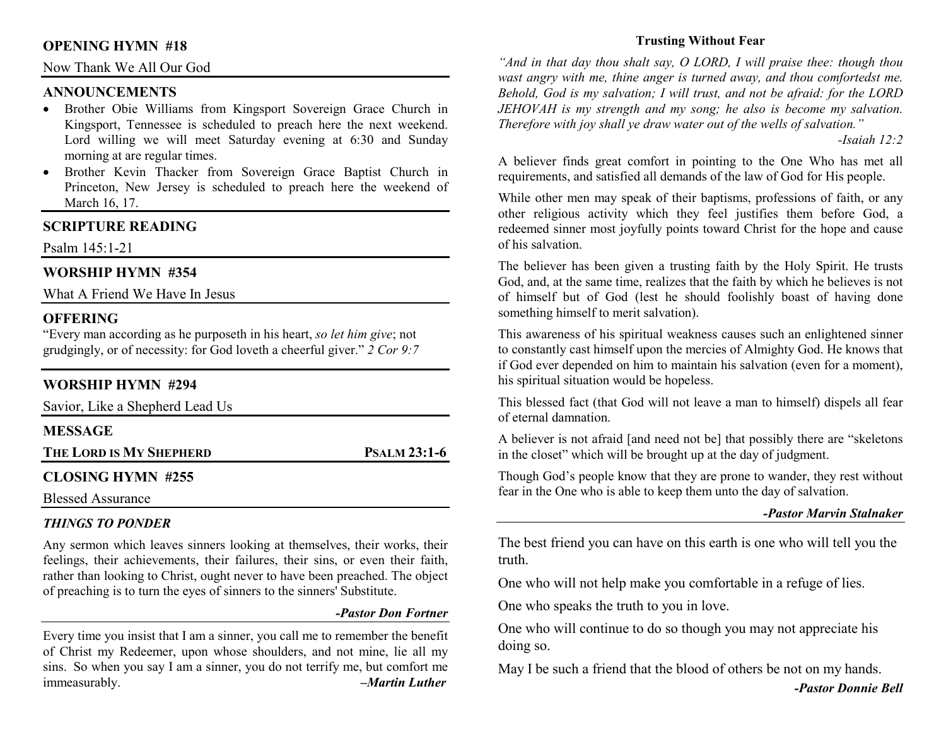## **OPENING HYMN #18**

## Now Thank We All Our God

## **ANNOUNCEMENTS**

- Brother Obie Williams from Kingsport Sovereign Grace Church in Kingsport, Tennessee is scheduled to preach here the next weekend. Lord willing we will meet Saturday evening at 6:30 and Sunday morning at are regular times.
- Brother Kevin Thacker from Sovereign Grace Baptist Church in Princeton, New Jersey is scheduled to preach here the weekend of March 16, 17.

## **SCRIPTURE READING**

Psalm 145:1-21

## **WORSHIP HYMN #354**

What A Friend We Have In Jesus

## **OFFERING**

 "Every man according as he purposeth in his heart, *so let him give*; not grudgingly, or of necessity: for God loveth a cheerful giver." *2 Cor 9:7*

## **WORSHIP HYMN #294**

| Savior, Like a Shepherd Lead Us |                     |  |
|---------------------------------|---------------------|--|
| <b>MESSAGE</b>                  |                     |  |
| THE LORD IS MY SHEPHERD         | <b>PSALM 23:1-6</b> |  |
| <b>CLOSING HYMN #255</b>        |                     |  |
| <b>Blessed Assurance</b>        |                     |  |

## *THINGS TO PONDER*

Any sermon which leaves sinners looking at themselves, their works, their feelings, their achievements, their failures, their sins, or even their faith, rather than looking to Christ, ought never to have been preached. The object of preaching is to turn the eyes of sinners to the sinners' Substitute.

#### *-Pastor Don Fortner*

Every time you insist that I am a sinner, you call me to remember the benefit of Christ my Redeemer, upon whose shoulders, and not mine, lie all my sins. So when you say I am a sinner, you do not terrify me, but comfort me immeasurably. *–Martin Luther*

## **Trusting Without Fear**

*"And in that day thou shalt say, O LORD, I will praise thee: though thou* wast angry with me, thine anger is turned away, and thou comfortedst me. *Behold, God is my salvation; I will trust, and not be afraid: for the LORD JEHOVAH is my strength and my song; he also is become my salvation. Therefore with joy shall ye draw water out of the wells of salvation."* 

 *-Isaiah 12:2* 

A believer finds great comfort in pointing to the One Who has met all requirements, and satisfied all demands of the law of God for His people.

While other men may speak of their baptisms, professions of faith, or any other religious activity which they feel justifies them before God, a redeemed sinner most joyfully points toward Christ for the hope and cause of his salvation.

The believer has been given a trusting faith by the Holy Spirit. He trusts God, and, at the same time, realizes that the faith by which he believes is not of himself but of God (lest he should foolishly boast of having done something himself to merit salvation).

This awareness of his spiritual weakness causes such an enlightened sinner to constantly cast himself upon the mercies of Almighty God. He knows that if God ever depended on him to maintain his salvation (even for a moment), his spiritual situation would be hopeless.

This blessed fact (that God will not leave a man to himself) dispels all fear of eternal damnation.

A believer is not afraid [and need not be] that possibly there are "skeletons in the closet" which will be brought up at the day of judgment.

Though God's people know that they are prone to wander, they rest without fear in the One who is able to keep them unto the day of salvation.

#### *-Pastor Marvin Stalnaker*

The best friend you can have on this earth is one who will tell you the truth.

One who will not help make you comfortable in a refuge of lies.

One who speaks the truth to you in love.

One who will continue to do so though you may not appreciate his doing so.

May I be such a friend that the blood of others be not on my hands.